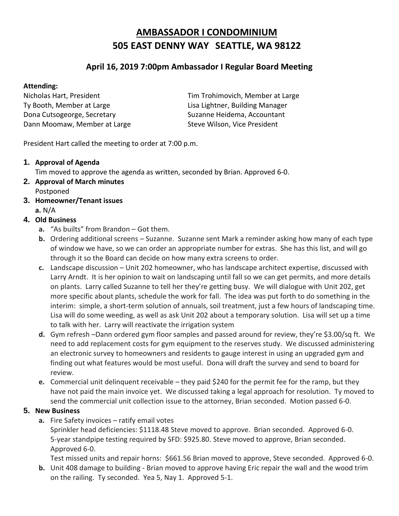# **AMBASSADOR I CONDOMINIUM 505 EAST DENNY WAY SEATTLE, WA 98122**

## **April 16, 2019 7:00pm Ambassador I Regular Board Meeting**

#### **Attending:**

Ty Booth, Member at Large Lisa Lightner, Building Manager Dona Cutsogeorge, Secretary Suzanne Heidema, Accountant Dann Moomaw, Member at Large Steve Wilson, Vice President

Nicholas Hart, President Tim Trohimovich, Member at Large

President Hart called the meeting to order at 7:00 p.m.

#### **1. Approval of Agenda**

Tim moved to approve the agenda as written, seconded by Brian. Approved 6-0.

- **2. Approval of March minutes** Postponed
- **3. Homeowner/Tenant issues a.** N/A

### **4. Old Business**

- **a.** "As builts" from Brandon Got them.
- **b.** Ordering additional screens Suzanne. Suzanne sent Mark a reminder asking how many of each type of window we have, so we can order an appropriate number for extras. She has this list, and will go through it so the Board can decide on how many extra screens to order.
- **c.** Landscape discussion Unit 202 homeowner, who has landscape architect expertise, discussed with Larry Arndt. It is her opinion to wait on landscaping until fall so we can get permits, and more details on plants. Larry called Suzanne to tell her they're getting busy. We will dialogue with Unit 202, get more specific about plants, schedule the work for fall. The idea was put forth to do something in the interim: simple, a short-term solution of annuals, soil treatment, just a few hours of landscaping time. Lisa will do some weeding, as well as ask Unit 202 about a temporary solution. Lisa will set up a time to talk with her. Larry will reactivate the irrigation system
- **d.** Gym refresh –Dann ordered gym floor samples and passed around for review, they're \$3.00/sq ft. We need to add replacement costs for gym equipment to the reserves study. We discussed administering an electronic survey to homeowners and residents to gauge interest in using an upgraded gym and finding out what features would be most useful. Dona will draft the survey and send to board for review.
- **e.** Commercial unit delinquent receivable they paid \$240 for the permit fee for the ramp, but they have not paid the main invoice yet. We discussed taking a legal approach for resolution. Ty moved to send the commercial unit collection issue to the attorney, Brian seconded. Motion passed 6-0.

#### **5. New Business**

**a.** Fire Safety invoices – ratify email votes

Sprinkler head deficiencies: \$1118.48 Steve moved to approve. Brian seconded. Approved 6-0. 5-year standpipe testing required by SFD: \$925.80. Steve moved to approve, Brian seconded. Approved 6-0.

Test missed units and repair horns: \$661.56 Brian moved to approve, Steve seconded. Approved 6-0.

**b.** Unit 408 damage to building - Brian moved to approve having Eric repair the wall and the wood trim on the railing. Ty seconded. Yea 5, Nay 1. Approved 5-1.